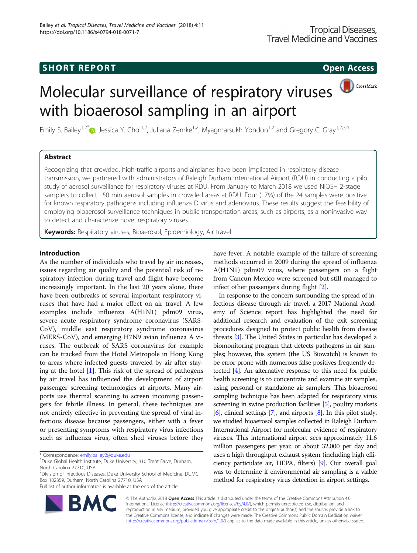## **SHORT REPORT SHORT CONSUMING THE SHORT CONSUMING THE SHORT CONSUMING THE SHORT CONSUMING THE SHORT CONSUMING THE SHORT CONSUMING THE SHORT CONSUMING THE SHORT CONSUMING THE SHORT CONSUMING THE SHORT CONSUMING THE SHORT**

CrossMark

# Molecular surveillance of respiratory viruses with bioaerosol sampling in an airport

Emily S. Bailey<sup>1,2[\\*](http://orcid.org/0000-0003-1292-0771)</sup> , Jessica Y. Choi<sup>1,2</sup>, Juliana Zemke<sup>1,2</sup>, Myagmarsukh Yondon<sup>1,2</sup> and Gregory C. Gray<sup>1,2,3,4</sup>

## Abstract

Recognizing that crowded, high-traffic airports and airplanes have been implicated in respiratory disease transmission, we partnered with administrators of Raleigh Durham International Airport (RDU) in conducting a pilot study of aerosol surveillance for respiratory viruses at RDU. From January to March 2018 we used NIOSH 2-stage samplers to collect 150 min aerosol samples in crowded areas at RDU. Four (17%) of the 24 samples were positive for known respiratory pathogens including influenza D virus and adenovirus. These results suggest the feasibility of employing bioaerosol surveillance techniques in public transportation areas, such as airports, as a noninvasive way to detect and characterize novel respiratory viruses.

Keywords: Respiratory viruses, Bioaerosol, Epidemiology, Air travel

## Introduction

As the number of individuals who travel by air increases, issues regarding air quality and the potential risk of respiratory infection during travel and flight have become increasingly important. In the last 20 years alone, there have been outbreaks of several important respiratory viruses that have had a major effect on air travel. A few examples include influenza A(H1N1) pdm09 virus, severe acute respiratory syndrome coronavirus (SARS-CoV), middle east respiratory syndrome coronavirus (MERS-CoV), and emerging H7N9 avian influenza A viruses. The outbreak of SARS coronavirus for example can be tracked from the Hotel Metropole in Hong Kong to areas where infected guests traveled by air after staying at the hotel [[1\]](#page-3-0). This risk of the spread of pathogens by air travel has influenced the development of airport passenger screening technologies at airports. Many airports use thermal scanning to screen incoming passengers for febrile illness. In general, these techniques are not entirely effective in preventing the spread of viral infectious disease because passengers, either with a fever or presenting symptoms with respiratory virus infections such as influenza virus, often shed viruses before they

\* Correspondence: [emily.bailey2@duke.edu](mailto:emily.bailey2@duke.edu) <sup>1</sup>

<sup>2</sup>Division of Infectious Diseases, Duke University School of Medicine, DUMC Box 102359, Durham, North Carolina 27710, USA

Full list of author information is available at the end of the article



have fever. A notable example of the failure of screening methods occurred in 2009 during the spread of influenza A(H1N1) pdm09 virus, where passengers on a flight from Cancun Mexico were screened but still managed to infect other passengers during flight [[2\]](#page-3-0).

In response to the concern surrounding the spread of infectious disease through air travel, a 2017 National Academy of Science report has highlighted the need for additional research and evaluation of the exit screening procedures designed to protect public health from disease threats [\[3](#page-3-0)]. The United States in particular has developed a biomonitoring program that detects pathogens in air samples; however, this system (the US Biowatch) is known to be error prone with numerous false positives frequently detected [\[4\]](#page-3-0). An alternative response to this need for public health screening is to concentrate and examine air samples, using personal or standalone air samplers. This bioaerosol sampling technique has been adapted for respiratory virus screening in swine production facilities [[5](#page-3-0)], poultry markets [[6](#page-3-0)], clinical settings [[7](#page-3-0)], and airports [\[8\]](#page-3-0). In this pilot study, we studied bioaerosol samples collected in Raleigh Durham International Airport for molecular evidence of respiratory viruses. This international airport sees approximately 11.6 million passengers per year, or about 32,000 per day and uses a high throughput exhaust system (including high efficiency particulate air, HEPA, filters) [[9](#page-3-0)]. Our overall goal was to determine if environmental air sampling is a viable method for respiratory virus detection in airport settings.

© The Author(s). 2018 Open Access This article is distributed under the terms of the Creative Commons Attribution 4.0 International License [\(http://creativecommons.org/licenses/by/4.0/](http://creativecommons.org/licenses/by/4.0/)), which permits unrestricted use, distribution, and reproduction in any medium, provided you give appropriate credit to the original author(s) and the source, provide a link to the Creative Commons license, and indicate if changes were made. The Creative Commons Public Domain Dedication waiver [\(http://creativecommons.org/publicdomain/zero/1.0/](http://creativecommons.org/publicdomain/zero/1.0/)) applies to the data made available in this article, unless otherwise stated.

<sup>&</sup>lt;sup>1</sup>Duke Global Health Institute, Duke University, 310 Trent Drive, Durham, North Carolina 27710, USA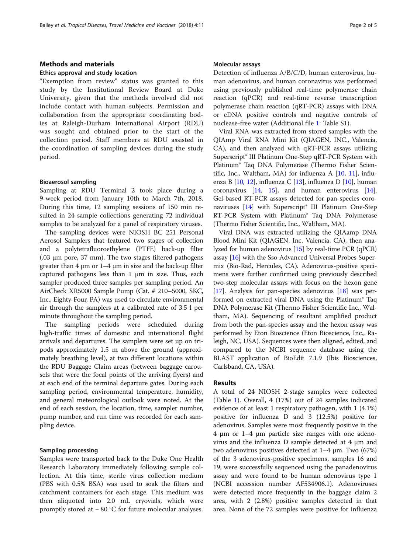#### Methods and materials

#### Ethics approval and study location

"Exemption from review" status was granted to this study by the Institutional Review Board at Duke University, given that the methods involved did not include contact with human subjects. Permission and collaboration from the appropriate coordinating bodies at Raleigh-Durham International Airport (RDU) was sought and obtained prior to the start of the collection period. Staff members at RDU assisted in the coordination of sampling devices during the study period.

#### Bioaerosol sampling

Sampling at RDU Terminal 2 took place during a 9-week period from January 10th to March 7th, 2018. During this time, 12 sampling sessions of 150 min resulted in 24 sample collections generating 72 individual samples to be analyzed for a panel of respiratory viruses.

The sampling devices were NIOSH BC 251 Personal Aerosol Samplers that featured two stages of collection and a polytetrafluoroethylene (PTFE) back-up filter (.03 μm pore, 37 mm). The two stages filtered pathogens greater than  $4 \mu m$  or  $1-4 \mu m$  in size and the back-up filter captured pathogens less than 1 μm in size. Thus, each sampler produced three samples per sampling period. An AirCheck XR5000 Sample Pump (Cat. # 210–5000, SKC, Inc., Eighty-Four, PA) was used to circulate environmental air through the samplers at a calibrated rate of 3.5 l per minute throughout the sampling period.

The sampling periods were scheduled during high-traffic times of domestic and international flight arrivals and departures. The samplers were set up on tripods approximately 1.5 m above the ground (approximately breathing level), at two different locations within the RDU Baggage Claim areas (between baggage carousels that were the focal points of the arriving flyers) and at each end of the terminal departure gates. During each sampling period, environmental temperature, humidity, and general meteorological outlook were noted. At the end of each session, the location, time, sampler number, pump number, and run time was recorded for each sampling device.

#### Sampling processing

Samples were transported back to the Duke One Health Research Laboratory immediately following sample collection. At this time, sterile virus collection medium (PBS with 0.5% BSA) was used to soak the filters and catchment containers for each stage. This medium was then aliquoted into 2.0 mL cryovials, which were promptly stored at − 80 °C for future molecular analyses.

#### Molecular assays

Detection of influenza A/B/C/D, human enterovirus, human adenovirus, and human coronavirus was performed using previously published real-time polymerase chain reaction (qPCR) and real-time reverse transcription polymerase chain reaction (qRT-PCR) assays with DNA or cDNA positive controls and negative controls of nuclease-free water (Additional file [1](#page-3-0): Table S1).

Viral RNA was extracted from stored samples with the QIAmp Viral RNA Mini Kit (QIAGEN, INC., Valencia, CA), and then analyzed with qRT-PCR assays utilizing Superscript® III Platinum One-Step qRT-PCR System with Platinum® Taq DNA Polymerase (Thermo Fisher Scientific, Inc., Waltham, MA) for influenza A  $[10, 11]$  $[10, 11]$  $[10, 11]$  $[10, 11]$ , influenza B  $[10, 12]$  $[10, 12]$  $[10, 12]$  $[10, 12]$  $[10, 12]$ , influenza C  $[13]$ , influenza D  $[10]$ , human coronavirus [\[14,](#page-4-0) [15](#page-4-0)], and human enterovirus [[14](#page-4-0)]. Gel-based RT-PCR assays detected for pan-species coro-naviruses [\[14\]](#page-4-0) with Superscript<sup>®</sup> III Platinum One-Step RT-PCR System with Platinum® Taq DNA Polymerase (Thermo Fisher Scientific, Inc., Waltham, MA).

Viral DNA was extracted utilizing the QIAamp DNA Blood Mini Kit (QIAGEN, Inc. Valencia, CA), then analyzed for human adenovirus [\[15\]](#page-4-0) by real-time PCR (qPCR) assay [\[16\]](#page-4-0) with the Sso Advanced Universal Probes Supermix (Bio-Rad, Hercules, CA). Adenovirus-positive specimens were further confirmed using previously described two-step molecular assays with focus on the hexon gene [[17](#page-4-0)]. Analysis for pan-species adenovirus [[18](#page-4-0)] was performed on extracted viral DNA using the Platinum® Taq DNA Polymerase Kit (Thermo Fisher Scientific Inc., Waltham, MA). Sequencing of resultant amplified product from both the pan-species assay and the hexon assay was performed by Eton Bioscience (Eton Bioscience, Inc., Raleigh, NC, USA). Sequences were then aligned, edited, and compared to the NCBI sequence database using the BLAST application of BioEdit 7.1.9 (Ibis Biosciences, Carlsband, CA, USA).

#### Results

A total of 24 NIOSH 2-stage samples were collected (Table [1](#page-2-0)). Overall, 4 (17%) out of 24 samples indicated evidence of at least 1 respiratory pathogen, with 1 (4.1%) positive for influenza D and 3 (12.5%) positive for adenovirus. Samples were most frequently positive in the 4 μm or 1–4 μm particle size ranges with one adenovirus and the influenza D sample detected at 4 μm and two adenovirus positives detected at 1–4 μm. Two (67%) of the 3 adenovirus-positive specimens, samples 16 and 19, were successfully sequenced using the panadenovirus assay and were found to be human adenovirus type 1 (NCBI accession number AF534906.1). Adenoviruses were detected more frequently in the baggage claim 2 area, with 2 (2.8%) positive samples detected in that area. None of the 72 samples were positive for influenza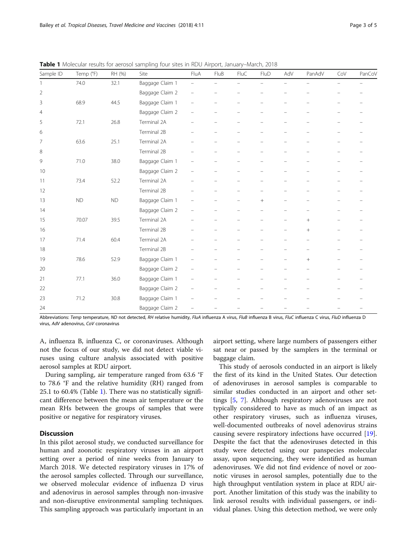| Sample ID      | Temp (°F) | RH (%)    | Site            | FluA                     | FluB                     | FluC                     | FluD              | AdV                      | PanAdV            | CoV                      | PanCoV                         |
|----------------|-----------|-----------|-----------------|--------------------------|--------------------------|--------------------------|-------------------|--------------------------|-------------------|--------------------------|--------------------------------|
| 1              | 74.0      | 32.1      | Baggage Claim 1 | -                        | $\equiv$                 | $\overline{\phantom{0}}$ | $\qquad \qquad -$ | $\qquad \qquad -$        | $\qquad \qquad -$ | $\qquad \qquad -$        | $\overline{\phantom{0}}$       |
| $\overline{2}$ |           |           | Baggage Claim 2 | -                        |                          |                          |                   |                          |                   |                          |                                |
| 3              | 68.9      | 44.5      | Baggage Claim 1 | $\overline{\phantom{0}}$ |                          | $\overline{\phantom{0}}$ |                   |                          |                   | $=$                      |                                |
| $\overline{4}$ |           |           | Baggage Claim 2 |                          |                          |                          |                   |                          |                   |                          |                                |
| 5              | 72.1      | 26.8      | Terminal 2A     |                          |                          | -                        |                   | $\overline{\phantom{m}}$ | -                 | -                        | $\qquad \qquad \longleftarrow$ |
| 6              |           |           | Terminal 2B     |                          |                          |                          |                   |                          |                   |                          |                                |
| 7              | 63.6      | 25.1      | Terminal 2A     | -                        | $\overline{\phantom{0}}$ | $\overline{\phantom{0}}$ |                   | $\qquad \qquad -$        | -                 | $\overline{\phantom{0}}$ | $\overline{\phantom{0}}$       |
| 8              |           |           | Terminal 2B     |                          |                          |                          |                   |                          |                   |                          |                                |
| 9              | 71.0      | 38.0      | Baggage Claim 1 | $\overline{\phantom{m}}$ |                          | $\overline{\phantom{0}}$ |                   | $\overline{\phantom{0}}$ |                   |                          |                                |
| 10             |           |           | Baggage Claim 2 | $\equiv$                 |                          | -                        |                   |                          |                   |                          |                                |
| 11             | 73.4      | 52.2      | Terminal 2A     |                          | $\overline{\phantom{0}}$ | $\overline{\phantom{0}}$ |                   | $\qquad \qquad -$        | -                 | -                        |                                |
| 12             |           |           | Terminal 2B     |                          |                          | -                        |                   |                          |                   |                          |                                |
| 13             | <b>ND</b> | <b>ND</b> | Baggage Claim 1 | $\equiv$                 | $\overline{\phantom{0}}$ | $\overline{\phantom{0}}$ | $^{+}$            | $\qquad \qquad -$        |                   |                          | $\equiv$                       |
| 14             |           |           | Baggage Claim 2 |                          |                          | $\overline{\phantom{0}}$ |                   |                          |                   |                          |                                |
| 15             | 70.07     | 39.5      | Terminal 2A     |                          | -                        | $\equiv$                 |                   | $\qquad \qquad -$        | $\! + \!\!\!\!$   | $\overline{\phantom{0}}$ | $\overline{\phantom{0}}$       |
| 16             |           |           | Terminal 2B     |                          |                          | -                        |                   |                          | $\! + \!\!\!\!$   |                          |                                |
| 17             | 71.4      | 60.4      | Terminal 2A     | $\overline{\phantom{0}}$ | $\overline{\phantom{0}}$ | $\overline{\phantom{0}}$ |                   | $\overline{\phantom{0}}$ | ÷                 |                          |                                |
| 18             |           |           | Terminal 2B     |                          |                          |                          |                   |                          |                   |                          |                                |
| 19             | 78.6      | 52.9      | Baggage Claim 1 | $\overline{\phantom{m}}$ |                          | $\overline{\phantom{0}}$ |                   | $\overline{\phantom{0}}$ |                   |                          |                                |
| 20             |           |           | Baggage Claim 2 | -                        |                          |                          |                   |                          |                   |                          |                                |
| 21             | 77.1      | 36.0      | Baggage Claim 1 | -                        | $\overline{\phantom{0}}$ | $\overline{\phantom{0}}$ | -                 | $\overline{\phantom{0}}$ | $\equiv$          |                          |                                |
| 22             |           |           | Baggage Claim 2 |                          |                          |                          |                   |                          |                   |                          |                                |
| 23             | 71.2      | 30.8      | Baggage Claim 1 |                          |                          |                          |                   |                          |                   |                          |                                |
| 24             |           |           | Baggage Claim 2 | ÷,                       |                          |                          |                   |                          |                   |                          | $\equiv$                       |

<span id="page-2-0"></span>Table 1 Molecular results for aerosol sampling four sites in RDU Airport, January–March, 2018

Abbreviations: Temp temperature, ND not detected, RH relative humidity, FluA influenza A virus, FluD influenza D virus, FluC influenza C virus, FluD influenza D virus, AdV adenovirus, CoV coronavirus

A, influenza B, influenza C, or coronaviruses. Although not the focus of our study, we did not detect viable viruses using culture analysis associated with positive aerosol samples at RDU airport.

During sampling, air temperature ranged from 63.6 °F to 78.6 °F and the relative humidity (RH) ranged from 25.1 to 60.4% (Table 1). There was no statistically significant difference between the mean air temperature or the mean RHs between the groups of samples that were positive or negative for respiratory viruses.

## **Discussion**

In this pilot aerosol study, we conducted surveillance for human and zoonotic respiratory viruses in an airport setting over a period of nine weeks from January to March 2018. We detected respiratory viruses in 17% of the aerosol samples collected. Through our surveillance, we observed molecular evidence of influenza D virus and adenovirus in aerosol samples through non-invasive and non-disruptive environmental sampling techniques. This sampling approach was particularly important in an

airport setting, where large numbers of passengers either sat near or passed by the samplers in the terminal or baggage claim.

This study of aerosols conducted in an airport is likely the first of its kind in the United States. Our detection of adenoviruses in aerosol samples is comparable to similar studies conducted in an airport and other settings [\[5](#page-3-0), [7\]](#page-3-0). Although respiratory adenoviruses are not typically considered to have as much of an impact as other respiratory viruses, such as influenza viruses, well-documented outbreaks of novel adenovirus strains causing severe respiratory infections have occurred [\[19](#page-4-0)]. Despite the fact that the adenoviruses detected in this study were detected using our panspecies molecular assay, upon sequencing, they were identified as human adenoviruses. We did not find evidence of novel or zoonotic viruses in aerosol samples, potentially due to the high throughput ventilation system in place at RDU airport. Another limitation of this study was the inability to link aerosol results with individual passengers, or individual planes. Using this detection method, we were only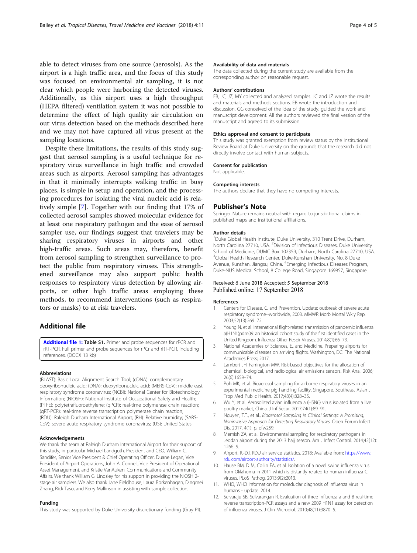<span id="page-3-0"></span>able to detect viruses from one source (aerosols). As the airport is a high traffic area, and the focus of this study was focused on environmental air sampling, it is not clear which people were harboring the detected viruses. Additionally, as this airport uses a high throughput (HEPA filtered) ventilation system it was not possible to determine the effect of high quality air circulation on our virus detection based on the methods described here and we may not have captured all virus present at the sampling locations.

Despite these limitations, the results of this study suggest that aerosol sampling is a useful technique for respiratory virus surveillance in high traffic and crowded areas such as airports. Aerosol sampling has advantages in that it minimally interrupts walking traffic in busy places, is simple in setup and operation, and the processing procedures for isolating the viral nucleic acid is relatively simple [7]. Together with our finding that 17% of collected aerosol samples showed molecular evidence for at least one respiratory pathogen and the ease of aerosol sampler use, our findings suggest that travelers may be sharing respiratory viruses in airports and other high-traffic areas. Such areas may, therefore, benefit from aerosol sampling to strengthen surveillance to protect the public from respiratory viruses. This strengthened surveillance may also support public health responses to respiratory virus detection by allowing airports, or other high traffic areas employing these methods, to recommend interventions (such as respirators or masks) to at risk travelers.

## Additional file

[Additional file 1:](https://doi.org/10.1186/s40794-018-0071-7) Table S1. Primer and probe sequences for rPCR and rRT-PCR. Full primer and probe sequences for rPCr and rRT-PCR, including references. (DOCX 13 kb)

#### Abbreviations

(BLAST): Basic Local Alignment Search Tool; (cDNA): complementary deoxyribonucleic acid; (DNA): deoxyribonucleic acid; (MERS-CoV): middle east respiratory syndrome coronavirus; (NCBI): National Center for Biotechnology Information; (NIOSH): National Institute of Occupational Safety and Health; (PTFE): polytetrafluoroethylene; (qPCR): real-time polymerase chain reaction; (qRT-PCR): real-time reverse transcription polymerase chain reaction; (RDU): Raleigh Durham International Airport; (RH): Relative humidity; (SARS-CoV): severe acute respiratory syndrome coronavirus; (US): United States

#### Acknowledgements

We thank the team at Raleigh Durham International Airport for their support of this study, in particular Michael Landguth, President and CEO, William C. Sandifer, Senior Vice President & Chief Operating Officer, Duane Legan, Vice President of Airport Operations, John A. Connell, Vice President of Operational Asset Management, and Kristie VanAuken, Communications and Community Affairs. We thank William G. Lindsley for his support in providing the NIOSH 2 stage air samplers. We also thank Jane Fieldhouse, Laura Borkenhagen, Dingmei Zhang, Rick Taso, and Kerry Mallinson in assisting with sample collection.

## Funding

This study was supported by Duke University discretionary funding (Gray PI).

The data collected during the current study are available from the corresponding author on reasonable request.

#### Authors' contributions

EB, JC, JZ, MY collected and analyzed samples. JC and JZ wrote the results and materials and methods sections. EB wrote the introduction and discussion. GG conceived of the idea of the study, guided the work and manuscript development. All the authors reviewed the final version of the manuscript and agreed to its submission.

#### Ethics approval and consent to participate

This study was granted exemption from review status by the Institutional Review Board at Duke University on the grounds that the research did not directly involve contact with human subjects.

#### Consent for publication

Not applicable.

#### Competing interests

The authors declare that they have no competing interests.

#### Publisher's Note

Springer Nature remains neutral with regard to jurisdictional claims in published maps and institutional affiliations.

#### Author details

<sup>1</sup>Duke Global Health Institute, Duke University, 310 Trent Drive, Durham, North Carolina 27710, USA. <sup>2</sup> Division of Infectious Diseases, Duke University School of Medicine, DUMC Box 102359, Durham, North Carolina 27710, USA. <sup>3</sup>Global Health Research Center, Duke-Kunshan University, No. 8 Duke Avenue, Kunshan, Jiangsu, China. <sup>4</sup> Emerging Infectious Diseases Program, Duke-NUS Medical School, 8 College Road, Singapore 169857, Singapore.

#### Received: 6 June 2018 Accepted: 5 September 2018 Published online: 17 September 2018

#### References

- 1. Centers for Disease, C. and Prevention. Update: outbreak of severe acute respiratory syndrome--worldwide, 2003. MMWR Morb Mortal Wkly Rep. 2003;52(13):269–72.
- 2. Young N, et al. International flight-related transmission of pandemic influenza a(H1N1)pdm09: an historical cohort study of the first identified cases in the United Kingdom. Influenza Other Respir Viruses. 2014;8(1):66–73.
- 3. National Academies of Sciences, E., and Medicine. Preparing airports for communicable diseases on arriving flights. Washington, DC: The National Academies Press; 2017.
- 4. Lambert JH, Farrington MW. Risk-based objectives for the allocation of chemical, biological, and radiological air emissions sensors. Risk Anal. 2006; 26(6):1659–74.
- 5. Poh MK, et al. Bioaerosol sampling for airborne respiratory viruses in an experimental medicine pig handling facility, Singapore. Southeast Asian J Trop Med Public Health. 2017;48(4):828–35.
- 6. Wu Y, et al. Aerosolized avian influenza a (H5N6) virus isolated from a live poultry market, China. J Inf Secur. 2017;74(1):89–91.
- Nguyen, T.T., et al., Bioaerosol Sampling in Clinical Settings: A Promising, Noninvasive Approach for Detecting Respiratory Viruses. Open Forum Infect Dis, 2017. 4(1): p. ofw259.
- 8. Memish ZA, et al. Environmental sampling for respiratory pathogens in Jeddah airport during the 2013 hajj season. Am J Infect Control. 2014;42(12): 1266–9.
- Airport, R.-D.I. RDU air service statistics. 2018; Available from: [https://www.](https://www.rdu.com/airport-authority/statistics/) [rdu.com/airport-authority/statistics/](https://www.rdu.com/airport-authority/statistics/).
- 10. Hause BM, D M, Collin EA, et al. Isolation of a novel swine influenza virus from Oklahoma in 2011 which is distantly related to human influenza C viruses. PLoS Pathog. 2013;9(2):2013.
- 11. WHO, WHO Information for moleduclar diagnosis of influenza virus in humans - update. 2014.
- 12. Selvaraju SB, Selvarangan R. Evaluation of three influenza a and B real-time reverse transcription-PCR assays and a new 2009 H1N1 assay for detection of influenza viruses. J Clin Microbiol. 2010;48(11):3870–5.